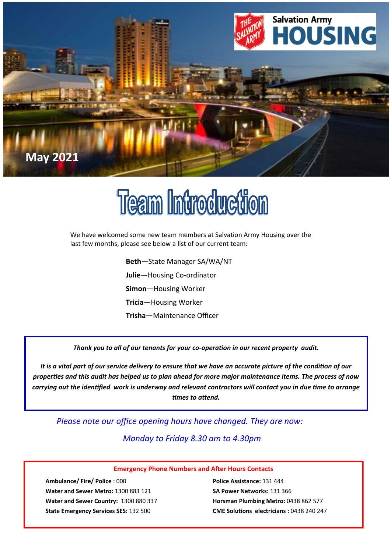

## **Team Introduction**

We have welcomed some new team members at Salvation Army Housing over the last few months, please see below a list of our current team:

> **Beth**—State Manager SA/WA/NT **Julie**—Housing Co-ordinator **Simon**—Housing Worker **Tricia**—Housing Worker **Trisha**—Maintenance Officer

*Thank you to all of our tenants for your co-operation in our recent property audit.* 

*It is a vital part of our service delivery to ensure that we have an accurate picture of the condition of our properties and this audit has helped us to plan ahead for more major maintenance items. The process of now carrying out the identified work is underway and relevant contractors will contact you in due time to arrange times to attend.*

*Please note our office opening hours have changed. They are now:*

*Monday to Friday 8.30 am to 4.30pm*

## **Emergency Phone Numbers and After Hours Contacts**

**Ambulance/ Fire/ Police** : 000 **Police Assistance:** 131 444 **Water and Sewer Metro:** 1300 883 121 **SA Power Networks:** 131 366 **Water and Sewer Country:** 1300 880 337 **Horsman Plumbing Metro:** 0438 862 577

**State Emergency Services SES:** 132 500 **CME Solutions electricians :** 0438 240 247